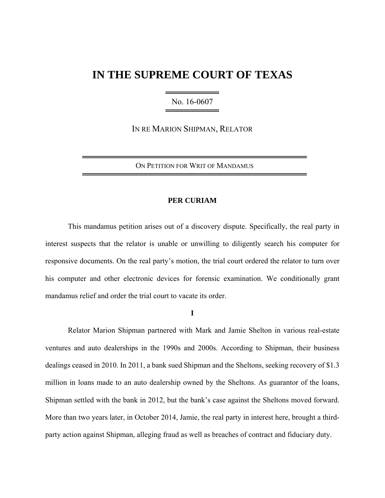## **IN THE SUPREME COURT OF TEXAS**

═════════════════════════ No. 16-0607 ═════════════════════════

IN RE MARION SHIPMAN, RELATOR

══════════════════════════════════════════ ON PETITION FOR WRIT OF MANDAMUS ══════════════════════════════════════════

## **PER CURIAM**

 This mandamus petition arises out of a discovery dispute. Specifically, the real party in interest suspects that the relator is unable or unwilling to diligently search his computer for responsive documents. On the real party's motion, the trial court ordered the relator to turn over his computer and other electronic devices for forensic examination. We conditionally grant mandamus relief and order the trial court to vacate its order.

**I** 

 Relator Marion Shipman partnered with Mark and Jamie Shelton in various real-estate ventures and auto dealerships in the 1990s and 2000s. According to Shipman, their business dealings ceased in 2010. In 2011, a bank sued Shipman and the Sheltons, seeking recovery of \$1.3 million in loans made to an auto dealership owned by the Sheltons. As guarantor of the loans, Shipman settled with the bank in 2012, but the bank's case against the Sheltons moved forward. More than two years later, in October 2014, Jamie, the real party in interest here, brought a thirdparty action against Shipman, alleging fraud as well as breaches of contract and fiduciary duty.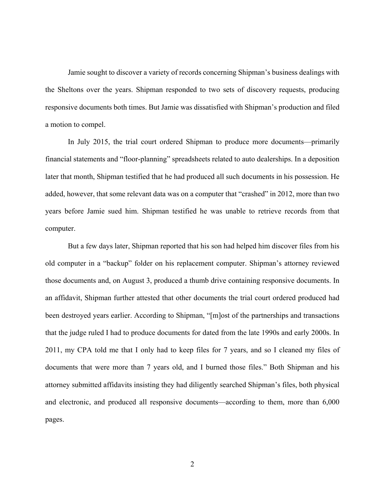Jamie sought to discover a variety of records concerning Shipman's business dealings with the Sheltons over the years. Shipman responded to two sets of discovery requests, producing responsive documents both times. But Jamie was dissatisfied with Shipman's production and filed a motion to compel.

 In July 2015, the trial court ordered Shipman to produce more documents—primarily financial statements and "floor-planning" spreadsheets related to auto dealerships. In a deposition later that month, Shipman testified that he had produced all such documents in his possession. He added, however, that some relevant data was on a computer that "crashed" in 2012, more than two years before Jamie sued him. Shipman testified he was unable to retrieve records from that computer.

But a few days later, Shipman reported that his son had helped him discover files from his old computer in a "backup" folder on his replacement computer. Shipman's attorney reviewed those documents and, on August 3, produced a thumb drive containing responsive documents. In an affidavit, Shipman further attested that other documents the trial court ordered produced had been destroyed years earlier. According to Shipman, "[m]ost of the partnerships and transactions that the judge ruled I had to produce documents for dated from the late 1990s and early 2000s. In 2011, my CPA told me that I only had to keep files for 7 years, and so I cleaned my files of documents that were more than 7 years old, and I burned those files." Both Shipman and his attorney submitted affidavits insisting they had diligently searched Shipman's files, both physical and electronic, and produced all responsive documents—according to them, more than 6,000 pages.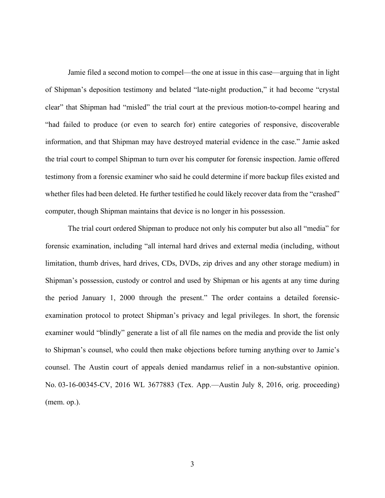Jamie filed a second motion to compel—the one at issue in this case—arguing that in light of Shipman's deposition testimony and belated "late-night production," it had become "crystal clear" that Shipman had "misled" the trial court at the previous motion-to-compel hearing and "had failed to produce (or even to search for) entire categories of responsive, discoverable information, and that Shipman may have destroyed material evidence in the case." Jamie asked the trial court to compel Shipman to turn over his computer for forensic inspection. Jamie offered testimony from a forensic examiner who said he could determine if more backup files existed and whether files had been deleted. He further testified he could likely recover data from the "crashed" computer, though Shipman maintains that device is no longer in his possession.

The trial court ordered Shipman to produce not only his computer but also all "media" for forensic examination, including "all internal hard drives and external media (including, without limitation, thumb drives, hard drives, CDs, DVDs, zip drives and any other storage medium) in Shipman's possession, custody or control and used by Shipman or his agents at any time during the period January 1, 2000 through the present." The order contains a detailed forensicexamination protocol to protect Shipman's privacy and legal privileges. In short, the forensic examiner would "blindly" generate a list of all file names on the media and provide the list only to Shipman's counsel, who could then make objections before turning anything over to Jamie's counsel. The Austin court of appeals denied mandamus relief in a non-substantive opinion. No. 03-16-00345-CV, 2016 WL 3677883 (Tex. App.—Austin July 8, 2016, orig. proceeding) (mem. op.).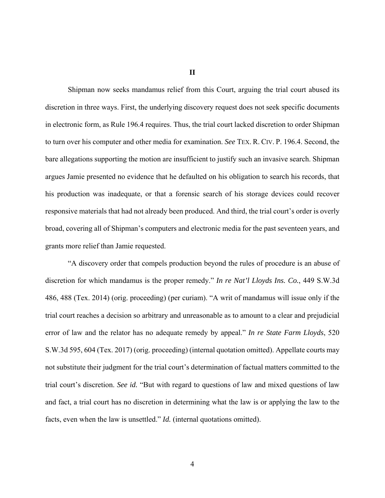**II** 

Shipman now seeks mandamus relief from this Court, arguing the trial court abused its discretion in three ways. First, the underlying discovery request does not seek specific documents in electronic form, as Rule 196.4 requires. Thus, the trial court lacked discretion to order Shipman to turn over his computer and other media for examination. *See* TEX. R. CIV. P. 196.4. Second, the bare allegations supporting the motion are insufficient to justify such an invasive search. Shipman argues Jamie presented no evidence that he defaulted on his obligation to search his records, that his production was inadequate, or that a forensic search of his storage devices could recover responsive materials that had not already been produced. And third, the trial court's order is overly broad, covering all of Shipman's computers and electronic media for the past seventeen years, and grants more relief than Jamie requested.

"A discovery order that compels production beyond the rules of procedure is an abuse of discretion for which mandamus is the proper remedy." *In re Nat'l Lloyds Ins. Co.*, 449 S.W.3d 486, 488 (Tex. 2014) (orig. proceeding) (per curiam). "A writ of mandamus will issue only if the trial court reaches a decision so arbitrary and unreasonable as to amount to a clear and prejudicial error of law and the relator has no adequate remedy by appeal." *In re State Farm Lloyds*, 520 S.W.3d 595, 604 (Tex. 2017) (orig. proceeding) (internal quotation omitted). Appellate courts may not substitute their judgment for the trial court's determination of factual matters committed to the trial court's discretion. *See id.* "But with regard to questions of law and mixed questions of law and fact, a trial court has no discretion in determining what the law is or applying the law to the facts, even when the law is unsettled." *Id.* (internal quotations omitted).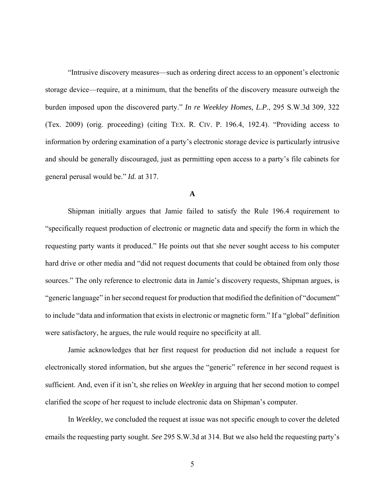"Intrusive discovery measures—such as ordering direct access to an opponent's electronic storage device—require, at a minimum, that the benefits of the discovery measure outweigh the burden imposed upon the discovered party." *In re Weekley Homes, L.P.*, 295 S.W.3d 309, 322 (Tex. 2009) (orig. proceeding) (citing TEX. R. CIV. P. 196.4, 192.4). "Providing access to information by ordering examination of a party's electronic storage device is particularly intrusive and should be generally discouraged, just as permitting open access to a party's file cabinets for general perusal would be." *Id.* at 317.

## **A**

Shipman initially argues that Jamie failed to satisfy the Rule 196.4 requirement to "specifically request production of electronic or magnetic data and specify the form in which the requesting party wants it produced." He points out that she never sought access to his computer hard drive or other media and "did not request documents that could be obtained from only those sources." The only reference to electronic data in Jamie's discovery requests, Shipman argues, is "generic language" in her second request for production that modified the definition of "document" to include "data and information that exists in electronic or magnetic form." If a "global" definition were satisfactory, he argues, the rule would require no specificity at all.

Jamie acknowledges that her first request for production did not include a request for electronically stored information, but she argues the "generic" reference in her second request is sufficient. And, even if it isn't, she relies on *Weekley* in arguing that her second motion to compel clarified the scope of her request to include electronic data on Shipman's computer.

In *Weekley*, we concluded the request at issue was not specific enough to cover the deleted emails the requesting party sought. *See* 295 S.W.3d at 314. But we also held the requesting party's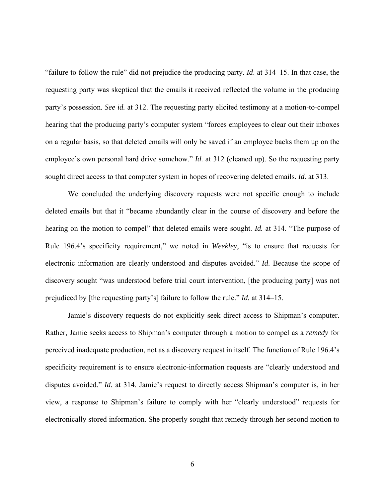"failure to follow the rule" did not prejudice the producing party. *Id*. at 314–15. In that case, the requesting party was skeptical that the emails it received reflected the volume in the producing party's possession. *See id.* at 312. The requesting party elicited testimony at a motion-to-compel hearing that the producing party's computer system "forces employees to clear out their inboxes on a regular basis, so that deleted emails will only be saved if an employee backs them up on the employee's own personal hard drive somehow." *Id.* at 312 (cleaned up). So the requesting party sought direct access to that computer system in hopes of recovering deleted emails. *Id.* at 313.

We concluded the underlying discovery requests were not specific enough to include deleted emails but that it "became abundantly clear in the course of discovery and before the hearing on the motion to compel" that deleted emails were sought. *Id.* at 314. "The purpose of Rule 196.4's specificity requirement," we noted in *Weekley*, "is to ensure that requests for electronic information are clearly understood and disputes avoided." *Id*. Because the scope of discovery sought "was understood before trial court intervention, [the producing party] was not prejudiced by [the requesting party's] failure to follow the rule." *Id.* at 314–15.

Jamie's discovery requests do not explicitly seek direct access to Shipman's computer. Rather, Jamie seeks access to Shipman's computer through a motion to compel as a *remedy* for perceived inadequate production, not as a discovery request in itself. The function of Rule 196.4's specificity requirement is to ensure electronic-information requests are "clearly understood and disputes avoided." *Id.* at 314. Jamie's request to directly access Shipman's computer is, in her view, a response to Shipman's failure to comply with her "clearly understood" requests for electronically stored information. She properly sought that remedy through her second motion to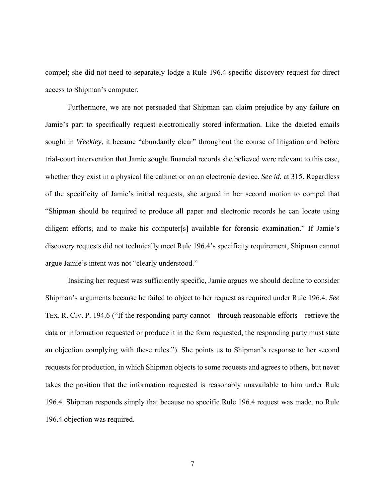compel; she did not need to separately lodge a Rule 196.4-specific discovery request for direct access to Shipman's computer.

Furthermore, we are not persuaded that Shipman can claim prejudice by any failure on Jamie's part to specifically request electronically stored information. Like the deleted emails sought in *Weekley*, it became "abundantly clear" throughout the course of litigation and before trial-court intervention that Jamie sought financial records she believed were relevant to this case, whether they exist in a physical file cabinet or on an electronic device. *See id.* at 315. Regardless of the specificity of Jamie's initial requests, she argued in her second motion to compel that "Shipman should be required to produce all paper and electronic records he can locate using diligent efforts, and to make his computer[s] available for forensic examination." If Jamie's discovery requests did not technically meet Rule 196.4's specificity requirement, Shipman cannot argue Jamie's intent was not "clearly understood."

Insisting her request was sufficiently specific, Jamie argues we should decline to consider Shipman's arguments because he failed to object to her request as required under Rule 196.4. *See*  TEX. R. CIV. P. 194.6 ("If the responding party cannot—through reasonable efforts—retrieve the data or information requested or produce it in the form requested, the responding party must state an objection complying with these rules."). She points us to Shipman's response to her second requests for production, in which Shipman objects to some requests and agrees to others, but never takes the position that the information requested is reasonably unavailable to him under Rule 196.4. Shipman responds simply that because no specific Rule 196.4 request was made, no Rule 196.4 objection was required.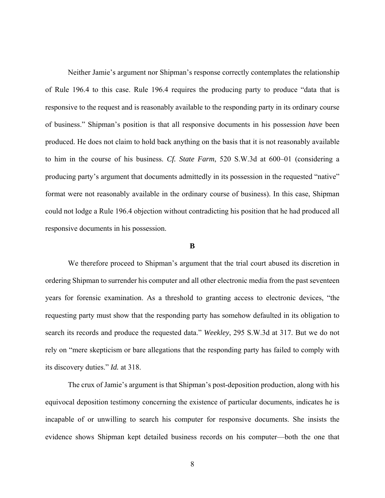Neither Jamie's argument nor Shipman's response correctly contemplates the relationship of Rule 196.4 to this case. Rule 196.4 requires the producing party to produce "data that is responsive to the request and is reasonably available to the responding party in its ordinary course of business." Shipman's position is that all responsive documents in his possession *have* been produced. He does not claim to hold back anything on the basis that it is not reasonably available to him in the course of his business. *Cf. State Farm*, 520 S.W.3d at 600–01 (considering a producing party's argument that documents admittedly in its possession in the requested "native" format were not reasonably available in the ordinary course of business). In this case, Shipman could not lodge a Rule 196.4 objection without contradicting his position that he had produced all responsive documents in his possession.

## **B**

We therefore proceed to Shipman's argument that the trial court abused its discretion in ordering Shipman to surrender his computer and all other electronic media from the past seventeen years for forensic examination. As a threshold to granting access to electronic devices, "the requesting party must show that the responding party has somehow defaulted in its obligation to search its records and produce the requested data." *Weekley*, 295 S.W.3d at 317. But we do not rely on "mere skepticism or bare allegations that the responding party has failed to comply with its discovery duties." *Id.* at 318.

The crux of Jamie's argument is that Shipman's post-deposition production, along with his equivocal deposition testimony concerning the existence of particular documents, indicates he is incapable of or unwilling to search his computer for responsive documents. She insists the evidence shows Shipman kept detailed business records on his computer—both the one that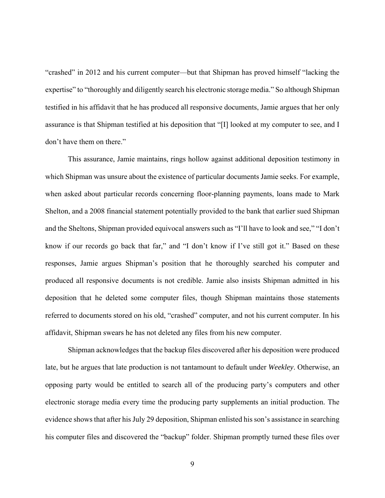"crashed" in 2012 and his current computer—but that Shipman has proved himself "lacking the expertise" to "thoroughly and diligently search his electronic storage media." So although Shipman testified in his affidavit that he has produced all responsive documents, Jamie argues that her only assurance is that Shipman testified at his deposition that "[I] looked at my computer to see, and I don't have them on there."

This assurance, Jamie maintains, rings hollow against additional deposition testimony in which Shipman was unsure about the existence of particular documents Jamie seeks. For example, when asked about particular records concerning floor-planning payments, loans made to Mark Shelton, and a 2008 financial statement potentially provided to the bank that earlier sued Shipman and the Sheltons, Shipman provided equivocal answers such as "I'll have to look and see," "I don't know if our records go back that far," and "I don't know if I've still got it." Based on these responses, Jamie argues Shipman's position that he thoroughly searched his computer and produced all responsive documents is not credible. Jamie also insists Shipman admitted in his deposition that he deleted some computer files, though Shipman maintains those statements referred to documents stored on his old, "crashed" computer, and not his current computer. In his affidavit, Shipman swears he has not deleted any files from his new computer.

Shipman acknowledges that the backup files discovered after his deposition were produced late, but he argues that late production is not tantamount to default under *Weekley*. Otherwise, an opposing party would be entitled to search all of the producing party's computers and other electronic storage media every time the producing party supplements an initial production. The evidence shows that after his July 29 deposition, Shipman enlisted his son's assistance in searching his computer files and discovered the "backup" folder. Shipman promptly turned these files over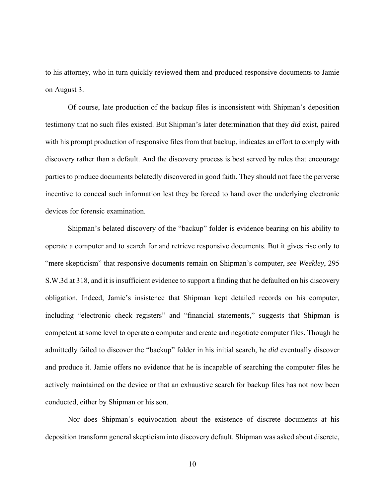to his attorney, who in turn quickly reviewed them and produced responsive documents to Jamie on August 3.

Of course, late production of the backup files is inconsistent with Shipman's deposition testimony that no such files existed. But Shipman's later determination that they *did* exist, paired with his prompt production of responsive files from that backup, indicates an effort to comply with discovery rather than a default. And the discovery process is best served by rules that encourage parties to produce documents belatedly discovered in good faith. They should not face the perverse incentive to conceal such information lest they be forced to hand over the underlying electronic devices for forensic examination.

Shipman's belated discovery of the "backup" folder is evidence bearing on his ability to operate a computer and to search for and retrieve responsive documents. But it gives rise only to "mere skepticism" that responsive documents remain on Shipman's computer, *see Weekley*, 295 S.W.3d at 318, and it is insufficient evidence to support a finding that he defaulted on his discovery obligation. Indeed, Jamie's insistence that Shipman kept detailed records on his computer, including "electronic check registers" and "financial statements," suggests that Shipman is competent at some level to operate a computer and create and negotiate computer files. Though he admittedly failed to discover the "backup" folder in his initial search, he *did* eventually discover and produce it. Jamie offers no evidence that he is incapable of searching the computer files he actively maintained on the device or that an exhaustive search for backup files has not now been conducted, either by Shipman or his son.

Nor does Shipman's equivocation about the existence of discrete documents at his deposition transform general skepticism into discovery default. Shipman was asked about discrete,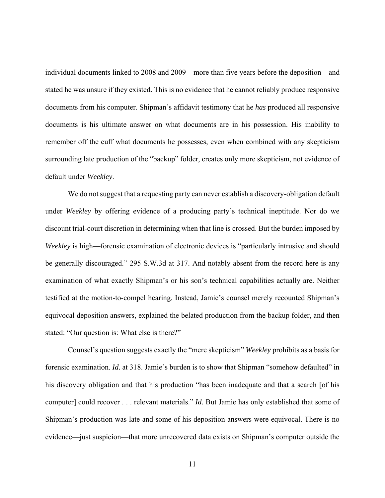individual documents linked to 2008 and 2009—more than five years before the deposition—and stated he was unsure if they existed. This is no evidence that he cannot reliably produce responsive documents from his computer. Shipman's affidavit testimony that he *has* produced all responsive documents is his ultimate answer on what documents are in his possession. His inability to remember off the cuff what documents he possesses, even when combined with any skepticism surrounding late production of the "backup" folder, creates only more skepticism, not evidence of default under *Weekley*.

We do not suggest that a requesting party can never establish a discovery-obligation default under *Weekley* by offering evidence of a producing party's technical ineptitude. Nor do we discount trial-court discretion in determining when that line is crossed. But the burden imposed by *Weekley* is high—forensic examination of electronic devices is "particularly intrusive and should be generally discouraged." 295 S.W.3d at 317. And notably absent from the record here is any examination of what exactly Shipman's or his son's technical capabilities actually are. Neither testified at the motion-to-compel hearing. Instead, Jamie's counsel merely recounted Shipman's equivocal deposition answers, explained the belated production from the backup folder, and then stated: "Our question is: What else is there?"

Counsel's question suggests exactly the "mere skepticism" *Weekley* prohibits as a basis for forensic examination. *Id.* at 318. Jamie's burden is to show that Shipman "somehow defaulted" in his discovery obligation and that his production "has been inadequate and that a search [of his computer] could recover . . . relevant materials." *Id.* But Jamie has only established that some of Shipman's production was late and some of his deposition answers were equivocal. There is no evidence—just suspicion—that more unrecovered data exists on Shipman's computer outside the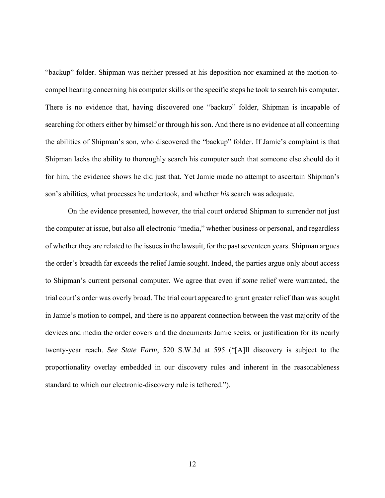"backup" folder. Shipman was neither pressed at his deposition nor examined at the motion-tocompel hearing concerning his computer skills or the specific steps he took to search his computer. There is no evidence that, having discovered one "backup" folder, Shipman is incapable of searching for others either by himself or through his son. And there is no evidence at all concerning the abilities of Shipman's son, who discovered the "backup" folder. If Jamie's complaint is that Shipman lacks the ability to thoroughly search his computer such that someone else should do it for him, the evidence shows he did just that. Yet Jamie made no attempt to ascertain Shipman's son's abilities, what processes he undertook, and whether *his* search was adequate.

On the evidence presented, however, the trial court ordered Shipman to surrender not just the computer at issue, but also all electronic "media," whether business or personal, and regardless of whether they are related to the issues in the lawsuit, for the past seventeen years. Shipman argues the order's breadth far exceeds the relief Jamie sought. Indeed, the parties argue only about access to Shipman's current personal computer. We agree that even if *some* relief were warranted, the trial court's order was overly broad. The trial court appeared to grant greater relief than was sought in Jamie's motion to compel, and there is no apparent connection between the vast majority of the devices and media the order covers and the documents Jamie seeks, or justification for its nearly twenty-year reach. *See State Farm*, 520 S.W.3d at 595 ("[A]ll discovery is subject to the proportionality overlay embedded in our discovery rules and inherent in the reasonableness standard to which our electronic-discovery rule is tethered.").